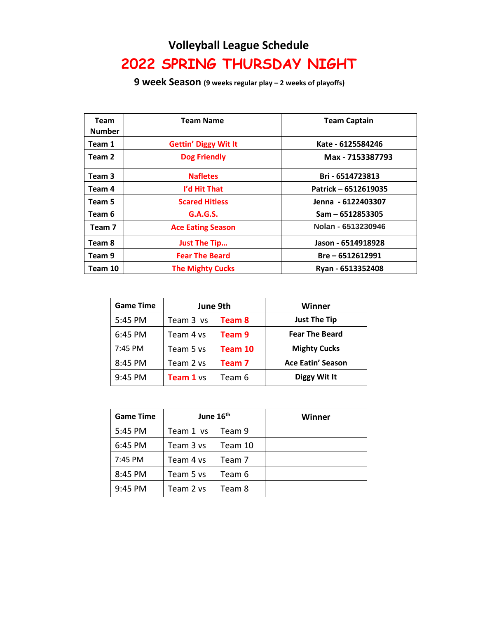## **Volleyball League Schedule 2022 SPRING THURSDAY NIGHT**

**9 week Season (9 weeks regular play – 2 weeks of playoffs)**

| Team<br><b>Number</b> | <b>Team Name</b>            | <b>Team Captain</b>  |
|-----------------------|-----------------------------|----------------------|
| Team 1                | <b>Gettin' Diggy Wit It</b> | Kate - 6125584246    |
| Team 2                | <b>Dog Friendly</b>         | Max - 7153387793     |
| Team 3                | <b>Nafletes</b>             | Bri - 6514723813     |
| Team 4                | I'd Hit That                | Patrick - 6512619035 |
| Team 5                | <b>Scared Hitless</b>       | Jenna - 6122403307   |
| Team 6                | <b>G.A.G.S.</b>             | $Sam - 6512853305$   |
| Team <sub>7</sub>     | <b>Ace Eating Season</b>    | Nolan - 6513230946   |
| Team 8                | <b>Just The Tip</b>         | Jason - 6514918928   |
| Team 9                | <b>Fear The Beard</b>       | Bre - 6512612991     |
| Team 10               | <b>The Mighty Cucks</b>     | Ryan - 6513352408    |

| <b>Game Time</b> | June 9th  |         | Winner                   |
|------------------|-----------|---------|--------------------------|
| 5:45 PM          | Team 3 vs | Team 8  | <b>Just The Tip</b>      |
| 6:45 PM          | Team 4 vs | Team 9  | <b>Fear The Beard</b>    |
| 7:45 PM          | Team 5 vs | Team 10 | <b>Mighty Cucks</b>      |
| 8:45 PM          | Team 2 vs | Team 7  | <b>Ace Eatin' Season</b> |
| 9:45 PM          | Team 1 vs | Team 6  | Diggy Wit It             |

| <b>Game Time</b> | June 16 <sup>th</sup> |         | Winner |
|------------------|-----------------------|---------|--------|
| 5:45 PM          | Team 1 vs             | Team 9  |        |
| 6:45 PM          | Team 3 vs             | Team 10 |        |
| 7:45 PM          | Team 4 vs             | Team 7  |        |
| 8:45 PM          | Team 5 ys             | Team 6  |        |
| 9:45 PM          | Team 2 vs             | Team 8  |        |